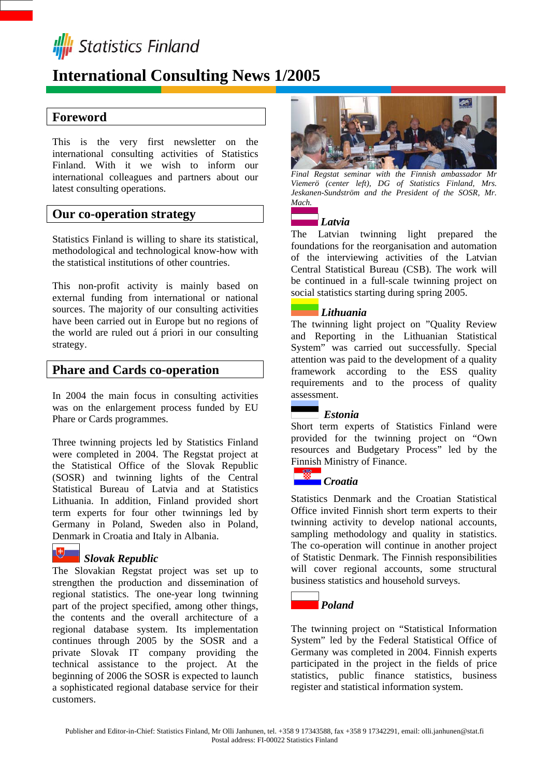

# **International Consulting News 1/2005**

## **Foreword**

This is the very first newsletter on the international consulting activities of Statistics Finland. With it we wish to inform our international colleagues and partners about our latest consulting operations.

### **Our co-operation strategy**

Statistics Finland is willing to share its statistical, methodological and technological know-how with the statistical institutions of other countries.

This non-profit activity is mainly based on external funding from international or national sources. The majority of our consulting activities have been carried out in Europe but no regions of the world are ruled out á priori in our consulting strategy.

### **Phare and Cards co-operation**

In 2004 the main focus in consulting activities was on the enlargement process funded by EU Phare or Cards programmes.

Three twinning projects led by Statistics Finland were completed in 2004. The Regstat project at the Statistical Office of the Slovak Republic (SOSR) and twinning lights of the Central Statistical Bureau of Latvia and at Statistics Lithuania. In addition, Finland provided short term experts for four other twinnings led by Germany in Poland, Sweden also in Poland, Denmark in Croatia and Italy in Albania.

### *Slovak Republic*

The Slovakian Regstat project was set up to strengthen the production and dissemination of regional statistics. The one-year long twinning part of the project specified, among other things, the contents and the overall architecture of a regional database system. Its implementation continues through 2005 by the SOSR and a private Slovak IT company providing the technical assistance to the project. At the beginning of 2006 the SOSR is expected to launch a sophisticated regional database service for their customers.



*Final Regstat seminar with the Finnish ambassador Mr Viemerö (center left), DG of Statistics Finland, Mrs. Jeskanen-Sundström and the President of the SOSR, Mr. Mach.*

### *Latvia*

The Latvian twinning light prepared the foundations for the reorganisation and automation of the interviewing activities of the Latvian Central Statistical Bureau (CSB). The work will be continued in a full-scale twinning project on social statistics starting during spring 2005.

### *Lithuania*

The twinning light project on "Quality Review and Reporting in the Lithuanian Statistical System" was carried out successfully. Special attention was paid to the development of a quality framework according to the ESS quality requirements and to the process of quality assessment.

### *Estonia*

Short term experts of Statistics Finland were provided for the twinning project on "Own resources and Budgetary Process" led by the Finnish Ministry of Finance.

# *Croatia*

Statistics Denmark and the Croatian Statistical Office invited Finnish short term experts to their twinning activity to develop national accounts, sampling methodology and quality in statistics. The co-operation will continue in another project of Statistic Denmark. The Finnish responsibilities will cover regional accounts, some structural business statistics and household surveys.



The twinning project on "Statistical Information System" led by the Federal Statistical Office of Germany was completed in 2004. Finnish experts participated in the project in the fields of price statistics, public finance statistics, business register and statistical information system.